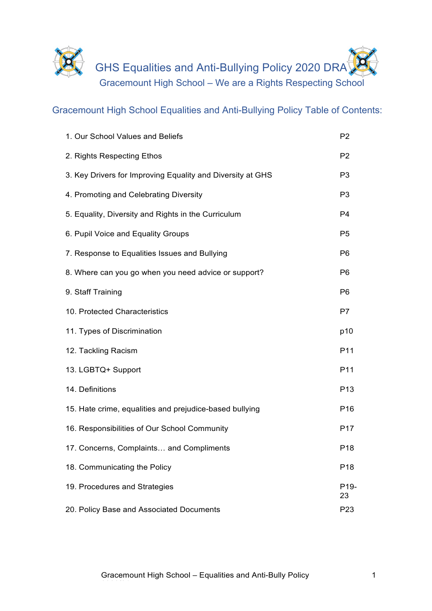

Gracemount High School Equalities and Anti-Bullying Policy Table of Contents:

| 1. Our School Values and Beliefs                           | P <sub>2</sub>          |
|------------------------------------------------------------|-------------------------|
| 2. Rights Respecting Ethos                                 | P <sub>2</sub>          |
| 3. Key Drivers for Improving Equality and Diversity at GHS | P <sub>3</sub>          |
| 4. Promoting and Celebrating Diversity                     | P <sub>3</sub>          |
| 5. Equality, Diversity and Rights in the Curriculum        | P <sub>4</sub>          |
| 6. Pupil Voice and Equality Groups                         | P <sub>5</sub>          |
| 7. Response to Equalities Issues and Bullying              | P <sub>6</sub>          |
| 8. Where can you go when you need advice or support?       | P <sub>6</sub>          |
| 9. Staff Training                                          | P <sub>6</sub>          |
| 10. Protected Characteristics                              | P7                      |
| 11. Types of Discrimination                                | p10                     |
| 12. Tackling Racism                                        | P11                     |
| 13. LGBTQ+ Support                                         | P11                     |
| 14. Definitions                                            | P <sub>13</sub>         |
| 15. Hate crime, equalities and prejudice-based bullying    | P <sub>16</sub>         |
| 16. Responsibilities of Our School Community               | P <sub>17</sub>         |
| 17. Concerns, Complaints and Compliments                   | P <sub>18</sub>         |
| 18. Communicating the Policy                               | P <sub>18</sub>         |
| 19. Procedures and Strategies                              | P <sub>19</sub> -<br>23 |
| 20. Policy Base and Associated Documents                   | P <sub>23</sub>         |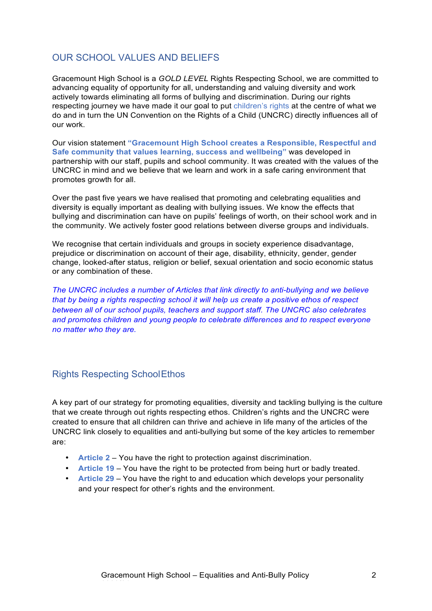## OUR SCHOOL VALUES AND BELIEFS

Gracemount High School is a *GOLD LEVEL* Rights Respecting School, we are committed to advancing equality of opportunity for all, understanding and valuing diversity and work actively towards eliminating all forms of bullying and discrimination. During our rights respecting journey we have made it our goal to put children's rights at the centre of what we do and in turn the UN Convention on the Rights of a Child (UNCRC) directly influences all of our work.

Our vision statement **"Gracemount High School creates a Responsible, Respectful and Safe community that values learning, success and wellbeing"** was developed in partnership with our staff, pupils and school community. It was created with the values of the UNCRC in mind and we believe that we learn and work in a safe caring environment that promotes growth for all.

Over the past five years we have realised that promoting and celebrating equalities and diversity is equally important as dealing with bullying issues. We know the effects that bullying and discrimination can have on pupils' feelings of worth, on their school work and in the community. We actively foster good relations between diverse groups and individuals.

We recognise that certain individuals and groups in society experience disadvantage. prejudice or discrimination on account of their age, disability, ethnicity, gender, gender change, looked-after status, religion or belief, sexual orientation and socio economic status or any combination of these.

*The UNCRC includes a number of Articles that link directly to anti-bullying and we believe that by being a rights respecting school it will help us create a positive ethos of respect between all of our school pupils, teachers and support staff. The UNCRC also celebrates and promotes children and young people to celebrate differences and to respect everyone no matter who they are.*

### Rights Respecting SchoolEthos

A key part of our strategy for promoting equalities, diversity and tackling bullying is the culture that we create through out rights respecting ethos. Children's rights and the UNCRC were created to ensure that all children can thrive and achieve in life many of the articles of the UNCRC link closely to equalities and anti-bullying but some of the key articles to remember are:

- **Article 2** You have the right to protection against discrimination.
- **Article 19** You have the right to be protected from being hurt or badly treated.
- **Article 29** You have the right to and education which develops your personality and your respect for other's rights and the environment.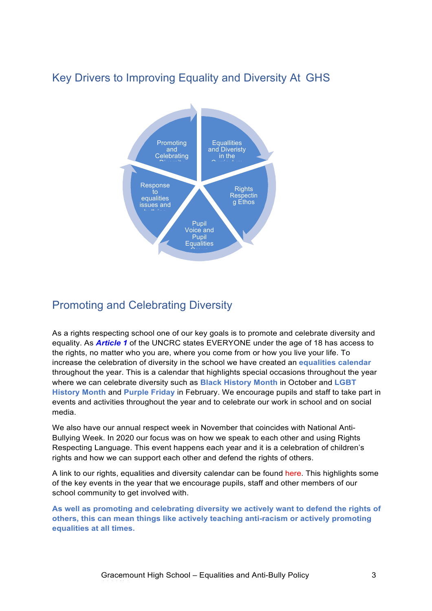# Key Drivers to Improving Equality and Diversity At GHS



## Promoting and Celebrating Diversity

As a rights respecting school one of our key goals is to promote and celebrate diversity and equality. As *Article 1* of the UNCRC states EVERYONE under the age of 18 has access to the rights, no matter who you are, where you come from or how you live your life. To increase the celebration of diversity in the school we have created an **equalities calendar**  throughout the year. This is a calendar that highlights special occasions throughout the year where we can celebrate diversity such as **Black History Month** in October and **LGBT History Month** and **Purple Friday** in February. We encourage pupils and staff to take part in events and activities throughout the year and to celebrate our work in school and on social media.

We also have our annual respect week in November that coincides with National Anti-Bullying Week. In 2020 our focus was on how we speak to each other and using Rights Respecting Language. This event happens each year and it is a celebration of children's rights and how we can support each other and defend the rights of others.

A link to our rights, equalities and diversity calendar can be found here. This highlights some of the key events in the year that we encourage pupils, staff and other members of our school community to get involved with.

**As well as promoting and celebrating diversity we actively want to defend the rights of others, this can mean things like actively teaching anti-racism or actively promoting equalities at all times.**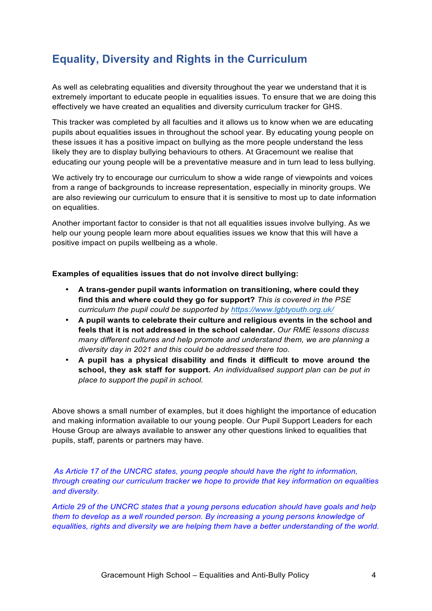# **Equality, Diversity and Rights in the Curriculum**

As well as celebrating equalities and diversity throughout the year we understand that it is extremely important to educate people in equalities issues. To ensure that we are doing this effectively we have created an equalities and diversity curriculum tracker for GHS.

This tracker was completed by all faculties and it allows us to know when we are educating pupils about equalities issues in throughout the school year. By educating young people on these issues it has a positive impact on bullying as the more people understand the less likely they are to display bullying behaviours to others. At Gracemount we realise that educating our young people will be a preventative measure and in turn lead to less bullying.

We actively try to encourage our curriculum to show a wide range of viewpoints and voices from a range of backgrounds to increase representation, especially in minority groups. We are also reviewing our curriculum to ensure that it is sensitive to most up to date information on equalities.

Another important factor to consider is that not all equalities issues involve bullying. As we help our young people learn more about equalities issues we know that this will have a positive impact on pupils wellbeing as a whole.

#### **Examples of equalities issues that do not involve direct bullying:**

- **A trans-gender pupil wants information on transitioning, where could they find this and where could they go for support?** *This is covered in the PSE curriculum the pupil could be supported by https://www.lgbtyouth.org.uk/*
- **A pupil wants to celebrate their culture and religious events in the school and feels that it is not addressed in the school calendar.** *Our RME lessons discuss many different cultures and help promote and understand them, we are planning a diversity day in 2021 and this could be addressed there too.*
- **A pupil has a physical disability and finds it difficult to move around the school, they ask staff for support.** *An individualised support plan can be put in place to support the pupil in school.*

Above shows a small number of examples, but it does highlight the importance of education and making information available to our young people. Our Pupil Support Leaders for each House Group are always available to answer any other questions linked to equalities that pupils, staff, parents or partners may have.

*As Article 17 of the UNCRC states, young people should have the right to information, through creating our curriculum tracker we hope to provide that key information on equalities and diversity.*

*Article 29 of the UNCRC states that a young persons education should have goals and help them to develop as a well rounded person. By increasing a young persons knowledge of equalities, rights and diversity we are helping them have a better understanding of the world.*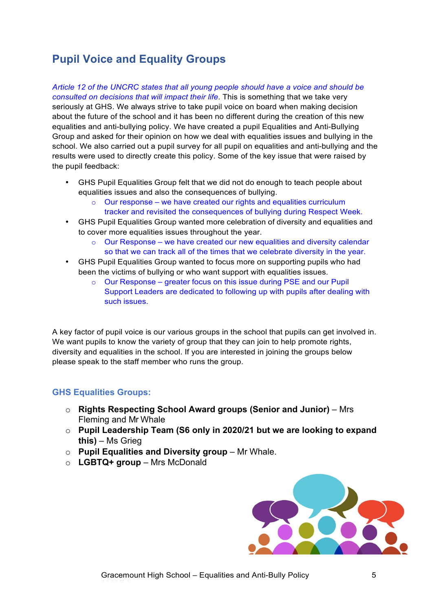# **Pupil Voice and Equality Groups**

*Article 12 of the UNCRC states that all young people should have a voice and should be consulted on decisions that will impact their life*. This is something that we take very seriously at GHS. We always strive to take pupil voice on board when making decision about the future of the school and it has been no different during the creation of this new equalities and anti-bullying policy. We have created a pupil Equalities and Anti-Bullying Group and asked for their opinion on how we deal with equalities issues and bullying in the school. We also carried out a pupil survey for all pupil on equalities and anti-bullying and the results were used to directly create this policy. Some of the key issue that were raised by the pupil feedback:

- GHS Pupil Equalities Group felt that we did not do enough to teach people about equalities issues and also the consequences of bullying.
	- $\circ$  Our response we have created our rights and equalities curriculum tracker and revisited the consequences of bullying during Respect Week.
- GHS Pupil Equalities Group wanted more celebration of diversity and equalities and to cover more equalities issues throughout the year.
	- Our Response we have created our new equalities and diversity calendar so that we can track all of the times that we celebrate diversity in the year.
- GHS Pupil Equalities Group wanted to focus more on supporting pupils who had been the victims of bullying or who want support with equalities issues.
	- o Our Response greater focus on this issue during PSE and our Pupil Support Leaders are dedicated to following up with pupils after dealing with such issues.

A key factor of pupil voice is our various groups in the school that pupils can get involved in. We want pupils to know the variety of group that they can join to help promote rights, diversity and equalities in the school. If you are interested in joining the groups below please speak to the staff member who runs the group.

#### **GHS Equalities Groups:**

- o **Rights Respecting School Award groups (Senior and Junior)**  Mrs Fleming and Mr Whale
- o **Pupil Leadership Team (S6 only in 2020/21 but we are looking to expand this)** – Ms Grieg
- o **Pupil Equalities and Diversity group**  Mr Whale.
- o **LGBTQ+ group**  Mrs McDonald

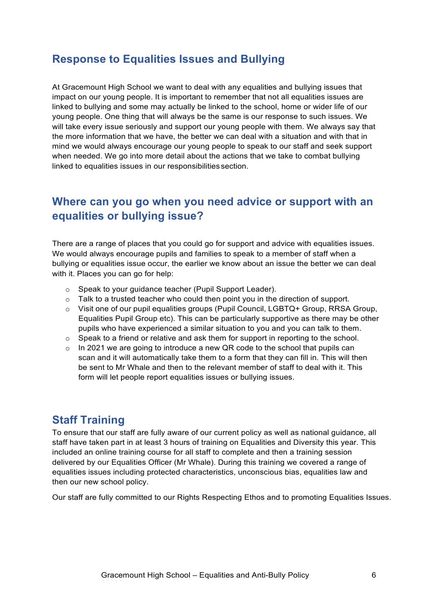## **Response to Equalities Issues and Bullying**

At Gracemount High School we want to deal with any equalities and bullying issues that impact on our young people. It is important to remember that not all equalities issues are linked to bullying and some may actually be linked to the school, home or wider life of our young people. One thing that will always be the same is our response to such issues. We will take every issue seriously and support our young people with them. We always say that the more information that we have, the better we can deal with a situation and with that in mind we would always encourage our young people to speak to our staff and seek support when needed. We go into more detail about the actions that we take to combat bullying linked to equalities issues in our responsibilities section.

## **Where can you go when you need advice or support with an equalities or bullying issue?**

There are a range of places that you could go for support and advice with equalities issues. We would always encourage pupils and families to speak to a member of staff when a bullying or equalities issue occur, the earlier we know about an issue the better we can deal with it. Places you can go for help:

- o Speak to your guidance teacher (Pupil Support Leader).
- $\circ$  Talk to a trusted teacher who could then point you in the direction of support.
- o Visit one of our pupil equalities groups (Pupil Council, LGBTQ+ Group, RRSA Group, Equalities Pupil Group etc). This can be particularly supportive as there may be other pupils who have experienced a similar situation to you and you can talk to them.
- $\circ$  Speak to a friend or relative and ask them for support in reporting to the school.
- $\circ$  In 2021 we are going to introduce a new QR code to the school that pupils can scan and it will automatically take them to a form that they can fill in. This will then be sent to Mr Whale and then to the relevant member of staff to deal with it. This form will let people report equalities issues or bullying issues.

## **Staff Training**

To ensure that our staff are fully aware of our current policy as well as national guidance, all staff have taken part in at least 3 hours of training on Equalities and Diversity this year. This included an online training course for all staff to complete and then a training session delivered by our Equalities Officer (Mr Whale). During this training we covered a range of equalities issues including protected characteristics, unconscious bias, equalities law and then our new school policy.

Our staff are fully committed to our Rights Respecting Ethos and to promoting Equalities Issues.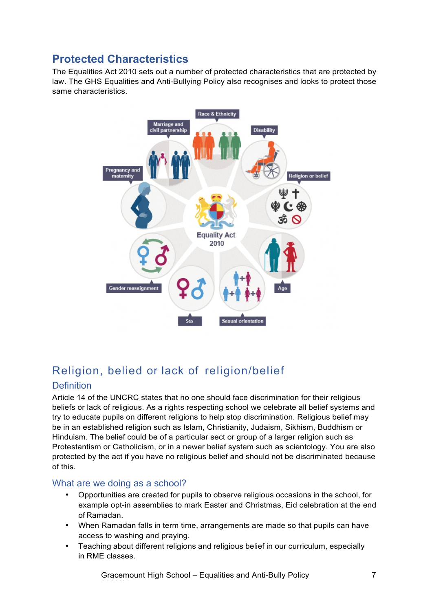# **Protected Characteristics**

The Equalities Act 2010 sets out a number of protected characteristics that are protected by law. The GHS Equalities and Anti-Bullying Policy also recognises and looks to protect those same characteristics.



# Religion, belied or lack of religion/belief

### **Definition**

Article 14 of the UNCRC states that no one should face discrimination for their religious beliefs or lack of religious. As a rights respecting school we celebrate all belief systems and try to educate pupils on different religions to help stop discrimination. Religious belief may be in an established religion such as Islam, Christianity, Judaism, Sikhism, Buddhism or Hinduism. The belief could be of a particular sect or group of a larger religion such as Protestantism or Catholicism, or in a newer belief system such as scientology. You are also protected by the act if you have no religious belief and should not be discriminated because of this.

### What are we doing as a school?

- Opportunities are created for pupils to observe religious occasions in the school, for example opt-in assemblies to mark Easter and Christmas, Eid celebration at the end of Ramadan.
- When Ramadan falls in term time, arrangements are made so that pupils can have access to washing and praying.
- Teaching about different religions and religious belief in our curriculum, especially in RME classes.

Gracemount High School – Equalities and Anti-Bully Policy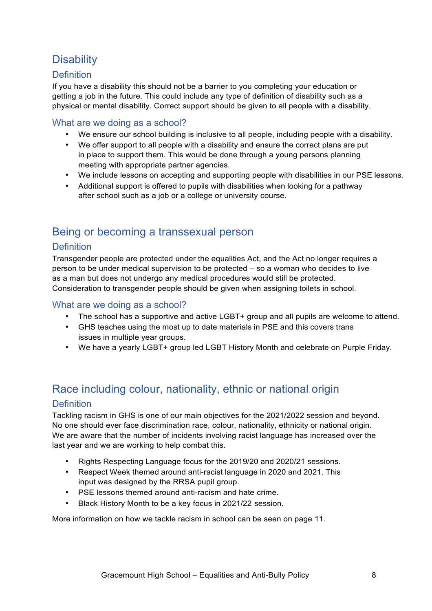# **Disability**

### **Definition**

If you have a disability this should not be a barrier to you completing your education or getting a job in the future. This could include any type of definition of disability such as a physical or mental disability. Correct support should be given to all people with a disability.

### What are we doing as a school?

- We ensure our school building is inclusive to all people, including people with a disability.
- We offer support to all people with a disability and ensure the correct plans are put in place to support them. This would be done through a young persons planning meeting with appropriate partner agencies.
- We include lessons on accepting and supporting people with disabilities in our PSE lessons.
- Additional support is offered to pupils with disabilities when looking for a pathway after school such as a job or a college or university course.

# Being or becoming a transsexual person

### **Definition**

Transgender people are protected under the equalities Act, and the Act no longer requires a person to be under medical supervision to be protected – so a woman who decides to live as a man but does not undergo any medical procedures would still be protected. Consideration to transgender people should be given when assigning toilets in school.

#### What are we doing as a school?

- The school has a supportive and active LGBT+ group and all pupils are welcome to attend.
- GHS teaches using the most up to date materials in PSE and this covers trans issues in multiple year groups.
- We have a yearly LGBT+ group led LGBT History Month and celebrate on Purple Friday.

# Race including colour, nationality, ethnic or national origin **Definition**

Tackling racism in GHS is one of our main objectives for the 2021/2022 session and beyond. No one should ever face discrimination race, colour, nationality, ethnicity or national origin. We are aware that the number of incidents involving racist language has increased over the last year and we are working to help combat this.

- Rights Respecting Language focus for the 2019/20 and 2020/21 sessions.
- Respect Week themed around anti-racist language in 2020 and 2021. This input was designed by the RRSA pupil group.
- PSE lessons themed around anti-racism and hate crime.
- Black History Month to be a key focus in 2021/22 session.

More information on how we tackle racism in school can be seen on page 11.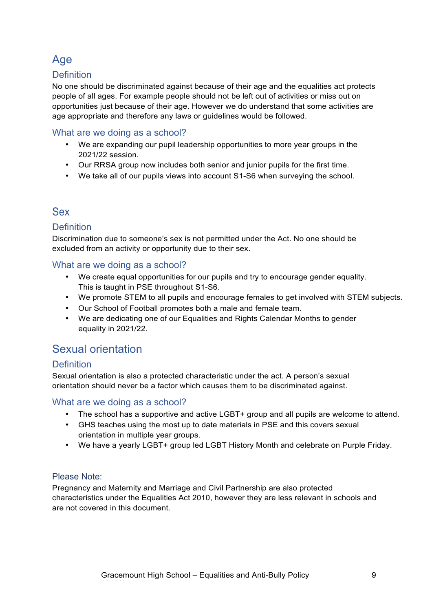# Age

### **Definition**

No one should be discriminated against because of their age and the equalities act protects people of all ages. For example people should not be left out of activities or miss out on opportunities just because of their age. However we do understand that some activities are age appropriate and therefore any laws or guidelines would be followed.

### What are we doing as a school?

- We are expanding our pupil leadership opportunities to more year groups in the 2021/22 session.
- Our RRSA group now includes both senior and junior pupils for the first time.
- We take all of our pupils views into account S1-S6 when surveying the school.

## Sex

### **Definition**

Discrimination due to someone's sex is not permitted under the Act. No one should be excluded from an activity or opportunity due to their sex.

#### What are we doing as a school?

- We create equal opportunities for our pupils and try to encourage gender equality. This is taught in PSE throughout S1-S6.
- We promote STEM to all pupils and encourage females to get involved with STEM subjects.
- Our School of Football promotes both a male and female team.
- We are dedicating one of our Equalities and Rights Calendar Months to gender equality in 2021/22.

# Sexual orientation

### Definition

Sexual orientation is also a protected characteristic under the act. A person's sexual orientation should never be a factor which causes them to be discriminated against.

### What are we doing as a school?

- The school has a supportive and active LGBT+ group and all pupils are welcome to attend.
- GHS teaches using the most up to date materials in PSE and this covers sexual orientation in multiple year groups.
- We have a yearly LGBT+ group led LGBT History Month and celebrate on Purple Friday.

#### Please Note:

Pregnancy and Maternity and Marriage and Civil Partnership are also protected characteristics under the Equalities Act 2010, however they are less relevant in schools and are not covered in this document.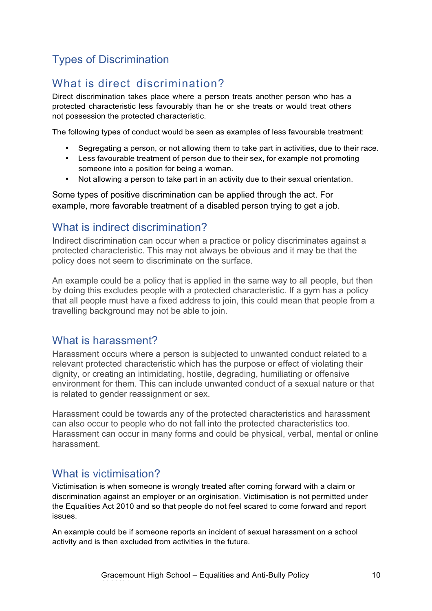# Types of Discrimination

# What is direct discrimination?

Direct discrimination takes place where a person treats another person who has a protected characteristic less favourably than he or she treats or would treat others not possession the protected characteristic.

The following types of conduct would be seen as examples of less favourable treatment:

- Segregating a person, or not allowing them to take part in activities, due to their race.
- Less favourable treatment of person due to their sex, for example not promoting someone into a position for being a woman.
- Not allowing a person to take part in an activity due to their sexual orientation.

Some types of positive discrimination can be applied through the act. For example, more favorable treatment of a disabled person trying to get a job.

## What is indirect discrimination?

Indirect discrimination can occur when a practice or policy discriminates against a protected characteristic. This may not always be obvious and it may be that the policy does not seem to discriminate on the surface.

An example could be a policy that is applied in the same way to all people, but then by doing this excludes people with a protected characteristic. If a gym has a policy that all people must have a fixed address to join, this could mean that people from a travelling background may not be able to join.

## What is harassment?

Harassment occurs where a person is subjected to unwanted conduct related to a relevant protected characteristic which has the purpose or effect of violating their dignity, or creating an intimidating, hostile, degrading, humiliating or offensive environment for them. This can include unwanted conduct of a sexual nature or that is related to gender reassignment or sex.

Harassment could be towards any of the protected characteristics and harassment can also occur to people who do not fall into the protected characteristics too. Harassment can occur in many forms and could be physical, verbal, mental or online harassment.

## What is victimisation?

Victimisation is when someone is wrongly treated after coming forward with a claim or discrimination against an employer or an orginisation. Victimisation is not permitted under the Equalities Act 2010 and so that people do not feel scared to come forward and report issues.

An example could be if someone reports an incident of sexual harassment on a school activity and is then excluded from activities in the future.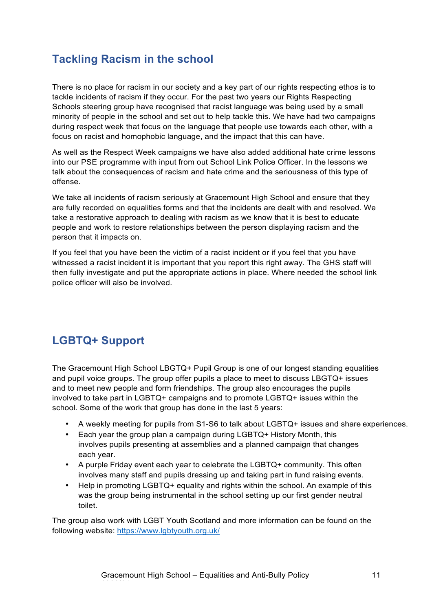# **Tackling Racism in the school**

There is no place for racism in our society and a key part of our rights respecting ethos is to tackle incidents of racism if they occur. For the past two years our Rights Respecting Schools steering group have recognised that racist language was being used by a small minority of people in the school and set out to help tackle this. We have had two campaigns during respect week that focus on the language that people use towards each other, with a focus on racist and homophobic language, and the impact that this can have.

As well as the Respect Week campaigns we have also added additional hate crime lessons into our PSE programme with input from out School Link Police Officer. In the lessons we talk about the consequences of racism and hate crime and the seriousness of this type of offense.

We take all incidents of racism seriously at Gracemount High School and ensure that they are fully recorded on equalities forms and that the incidents are dealt with and resolved. We take a restorative approach to dealing with racism as we know that it is best to educate people and work to restore relationships between the person displaying racism and the person that it impacts on.

If you feel that you have been the victim of a racist incident or if you feel that you have witnessed a racist incident it is important that you report this right away. The GHS staff will then fully investigate and put the appropriate actions in place. Where needed the school link police officer will also be involved.

# **LGBTQ+ Support**

The Gracemount High School LBGTQ+ Pupil Group is one of our longest standing equalities and pupil voice groups. The group offer pupils a place to meet to discuss LBGTQ+ issues and to meet new people and form friendships. The group also encourages the pupils involved to take part in LGBTQ+ campaigns and to promote LGBTQ+ issues within the school. Some of the work that group has done in the last 5 years:

- A weekly meeting for pupils from S1-S6 to talk about LGBTQ+ issues and share experiences.
- Each year the group plan a campaign during LGBTQ+ History Month, this involves pupils presenting at assemblies and a planned campaign that changes each year.
- A purple Friday event each year to celebrate the LGBTQ+ community. This often involves many staff and pupils dressing up and taking part in fund raising events.
- Help in promoting LGBTQ+ equality and rights within the school. An example of this was the group being instrumental in the school setting up our first gender neutral toilet.

The group also work with LGBT Youth Scotland and more information can be found on the following website: https://www.lgbtyouth.org.uk/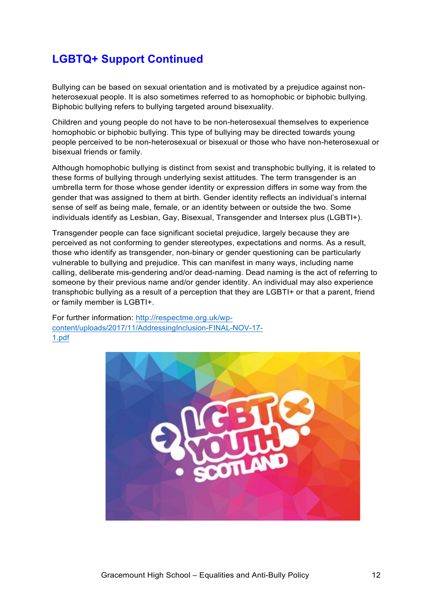# **LGBTQ+ Support Continued**

Bullying can be based on sexual orientation and is motivated by a prejudice against nonheterosexual people. It is also sometimes referred to as homophobic or biphobic bullying. Biphobic bullying refers to bullying targeted around bisexuality.

Children and young people do not have to be non-heterosexual themselves to experience homophobic or biphobic bullying. This type of bullying may be directed towards young people perceived to be non-heterosexual or bisexual or those who have non-heterosexual or bisexual friends or family.

Although homophobic bullying is distinct from sexist and transphobic bullying, it is related to these forms of bullying through underlying sexist attitudes. The term transgender is an umbrella term for those whose gender identity or expression differs in some way from the gender that was assigned to them at birth. Gender identity reflects an individual's internal sense of self as being male, female, or an identity between or outside the two. Some individuals identify as Lesbian, Gay, Bisexual, Transgender and Intersex plus (LGBTI+).

Transgender people can face significant societal prejudice, largely because they are perceived as not conforming to gender stereotypes, expectations and norms. As a result, those who identify as transgender, non-binary or gender questioning can be particularly vulnerable to bullying and prejudice. This can manifest in many ways, including name calling, deliberate mis-gendering and/or dead-naming. Dead naming is the act of referring to someone by their previous name and/or gender identity. An individual may also experience transphobic bullying as a result of a perception that they are LGBTI+ or that a parent, friend or family member is LGBTI+.

For further information: http://respectme.org.uk/wpcontent/uploads/2017/11/AddressingInclusion-FINAL-NOV-17- 1.pdf

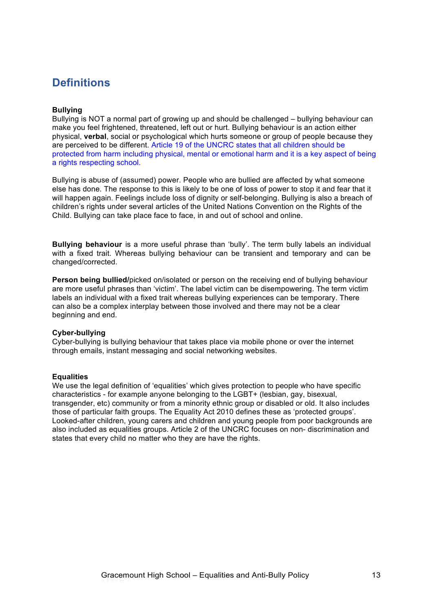# **Definitions**

#### **Bullying**

Bullying is NOT a normal part of growing up and should be challenged – bullying behaviour can make you feel frightened, threatened, left out or hurt. Bullying behaviour is an action either physical, **verbal**, social or psychological which hurts someone or group of people because they are perceived to be different. Article 19 of the UNCRC states that all children should be protected from harm including physical, mental or emotional harm and it is a key aspect of being a rights respecting school.

Bullying is abuse of (assumed) power. People who are bullied are affected by what someone else has done. The response to this is likely to be one of loss of power to stop it and fear that it will happen again. Feelings include loss of dignity or self-belonging. Bullying is also a breach of children's rights under several articles of the United Nations Convention on the Rights of the Child. Bullying can take place face to face, in and out of school and online.

**Bullying behaviour** is a more useful phrase than 'bully'. The term bully labels an individual with a fixed trait. Whereas bullying behaviour can be transient and temporary and can be changed/corrected.

**Person being bullied/**picked on/isolated or person on the receiving end of bullying behaviour are more useful phrases than 'victim'. The label victim can be disempowering. The term victim labels an individual with a fixed trait whereas bullying experiences can be temporary. There can also be a complex interplay between those involved and there may not be a clear beginning and end.

#### **Cyber-bullying**

Cyber-bullying is bullying behaviour that takes place via mobile phone or over the internet through emails, instant messaging and social networking websites.

#### **Equalities**

We use the legal definition of 'equalities' which gives protection to people who have specific characteristics - for example anyone belonging to the LGBT+ (lesbian, gay, bisexual, transgender, etc) community or from a minority ethnic group or disabled or old. It also includes those of particular faith groups. The Equality Act 2010 defines these as 'protected groups'. Looked-after children, young carers and children and young people from poor backgrounds are also included as equalities groups. Article 2 of the UNCRC focuses on non- discrimination and states that every child no matter who they are have the rights.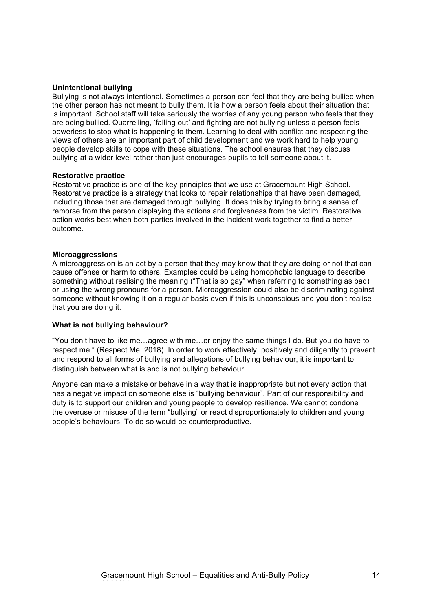#### **Unintentional bullying**

Bullying is not always intentional. Sometimes a person can feel that they are being bullied when the other person has not meant to bully them. It is how a person feels about their situation that is important. School staff will take seriously the worries of any young person who feels that they are being bullied. Quarrelling, 'falling out' and fighting are not bullying unless a person feels powerless to stop what is happening to them. Learning to deal with conflict and respecting the views of others are an important part of child development and we work hard to help young people develop skills to cope with these situations. The school ensures that they discuss bullying at a wider level rather than just encourages pupils to tell someone about it.

#### **Restorative practice**

Restorative practice is one of the key principles that we use at Gracemount High School. Restorative practice is a strategy that looks to repair relationships that have been damaged, including those that are damaged through bullying. It does this by trying to bring a sense of remorse from the person displaying the actions and forgiveness from the victim. Restorative action works best when both parties involved in the incident work together to find a better outcome.

#### **Microaggressions**

A microaggression is an act by a person that they may know that they are doing or not that can cause offense or harm to others. Examples could be using homophobic language to describe something without realising the meaning ("That is so gay" when referring to something as bad) or using the wrong pronouns for a person. Microaggression could also be discriminating against someone without knowing it on a regular basis even if this is unconscious and you don't realise that you are doing it.

#### **What is not bullying behaviour?**

"You don't have to like me…agree with me…or enjoy the same things I do. But you do have to respect me." (Respect Me, 2018). In order to work effectively, positively and diligently to prevent and respond to all forms of bullying and allegations of bullying behaviour, it is important to distinguish between what is and is not bullying behaviour.

Anyone can make a mistake or behave in a way that is inappropriate but not every action that has a negative impact on someone else is "bullying behaviour". Part of our responsibility and duty is to support our children and young people to develop resilience. We cannot condone the overuse or misuse of the term "bullying" or react disproportionately to children and young people's behaviours. To do so would be counterproductive.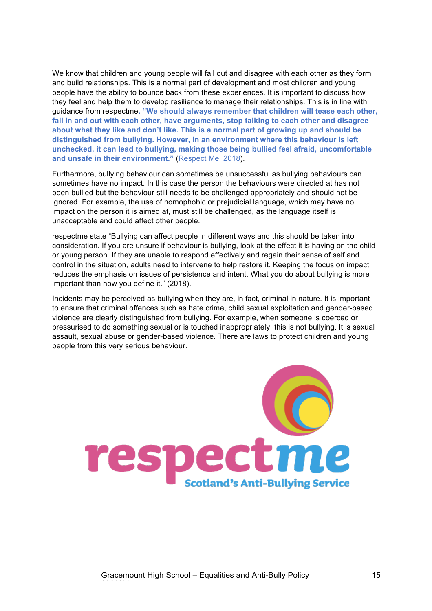We know that children and young people will fall out and disagree with each other as they form and build relationships. This is a normal part of development and most children and young people have the ability to bounce back from these experiences. It is important to discuss how they feel and help them to develop resilience to manage their relationships. This is in line with guidance from respectme**. "We should always remember that children will tease each other, fall in and out with each other, have arguments, stop talking to each other and disagree about what they like and don't like. This is a normal part of growing up and should be distinguished from bullying. However, in an environment where this behaviour is left unchecked, it can lead to bullying, making those being bullied feel afraid, uncomfortable and unsafe in their environment."** (Respect Me, 2018).

Furthermore, bullying behaviour can sometimes be unsuccessful as bullying behaviours can sometimes have no impact. In this case the person the behaviours were directed at has not been bullied but the behaviour still needs to be challenged appropriately and should not be ignored. For example, the use of homophobic or prejudicial language, which may have no impact on the person it is aimed at, must still be challenged, as the language itself is unacceptable and could affect other people.

respectme state "Bullying can affect people in different ways and this should be taken into consideration. If you are unsure if behaviour is bullying, look at the effect it is having on the child or young person. If they are unable to respond effectively and regain their sense of self and control in the situation, adults need to intervene to help restore it. Keeping the focus on impact reduces the emphasis on issues of persistence and intent. What you do about bullying is more important than how you define it." (2018).

Incidents may be perceived as bullying when they are, in fact, criminal in nature. It is important to ensure that criminal offences such as hate crime, child sexual exploitation and gender-based violence are clearly distinguished from bullying. For example, when someone is coerced or pressurised to do something sexual or is touched inappropriately, this is not bullying. It is sexual assault, sexual abuse or gender-based violence. There are laws to protect children and young people from this very serious behaviour.

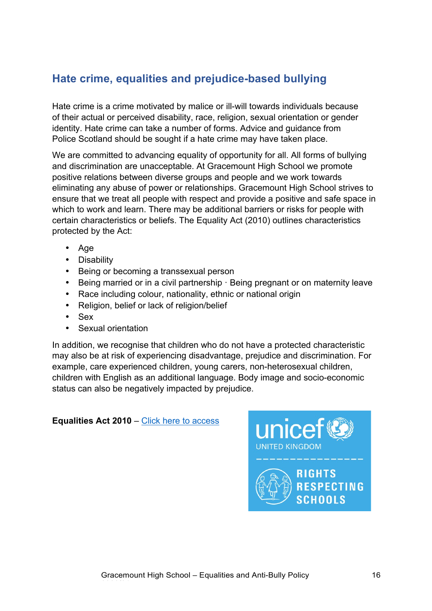# **Hate crime, equalities and prejudice-based bullying**

Hate crime is a crime motivated by malice or ill-will towards individuals because of their actual or perceived disability, race, religion, sexual orientation or gender identity. Hate crime can take a number of forms. Advice and guidance from Police Scotland should be sought if a hate crime may have taken place.

We are committed to advancing equality of opportunity for all. All forms of bullying and discrimination are unacceptable. At Gracemount High School we promote positive relations between diverse groups and people and we work towards eliminating any abuse of power or relationships. Gracemount High School strives to ensure that we treat all people with respect and provide a positive and safe space in which to work and learn. There may be additional barriers or risks for people with certain characteristics or beliefs. The Equality Act (2010) outlines characteristics protected by the Act:

- Age
- Disability
- Being or becoming a transsexual person
- Being married or in a civil partnership · Being pregnant or on maternity leave
- Race including colour, nationality, ethnic or national origin
- Religion, belief or lack of religion/belief
- Sex
- Sexual orientation

In addition, we recognise that children who do not have a protected characteristic may also be at risk of experiencing disadvantage, prejudice and discrimination. For example, care experienced children, young carers, non-heterosexual children, children with English as an additional language. Body image and socio-economic status can also be negatively impacted by prejudice.

**Equalities Act 2010 – Click here to access** 

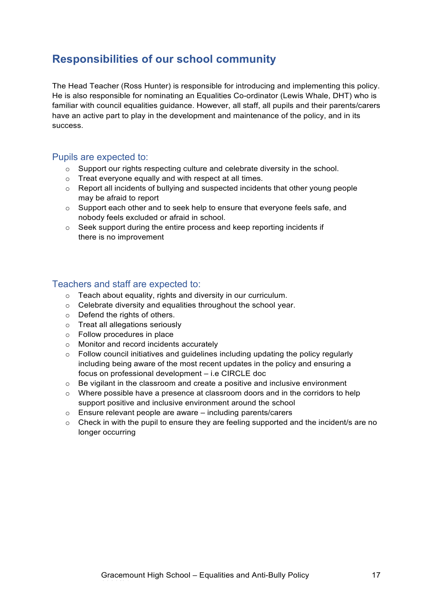# **Responsibilities of our school community**

The Head Teacher (Ross Hunter) is responsible for introducing and implementing this policy. He is also responsible for nominating an Equalities Co-ordinator (Lewis Whale, DHT) who is familiar with council equalities guidance. However, all staff, all pupils and their parents/carers have an active part to play in the development and maintenance of the policy, and in its success.

### Pupils are expected to:

- $\circ$  Support our rights respecting culture and celebrate diversity in the school.
- o Treat everyone equally and with respect at all times.
- $\circ$  Report all incidents of bullying and suspected incidents that other young people may be afraid to report
- $\circ$  Support each other and to seek help to ensure that everyone feels safe, and nobody feels excluded or afraid in school.
- o Seek support during the entire process and keep reporting incidents if there is no improvement

### Teachers and staff are expected to:

- o Teach about equality, rights and diversity in our curriculum.
- o Celebrate diversity and equalities throughout the school year.
- $\circ$  Defend the rights of others.
- o Treat all allegations seriously
- o Follow procedures in place
- o Monitor and record incidents accurately
- $\circ$  Follow council initiatives and quidelines including updating the policy regularly including being aware of the most recent updates in the policy and ensuring a focus on professional development – i.e CIRCLE doc
- o Be vigilant in the classroom and create a positive and inclusive environment
- o Where possible have a presence at classroom doors and in the corridors to help support positive and inclusive environment around the school
- o Ensure relevant people are aware including parents/carers
- o Check in with the pupil to ensure they are feeling supported and the incident/s are no longer occurring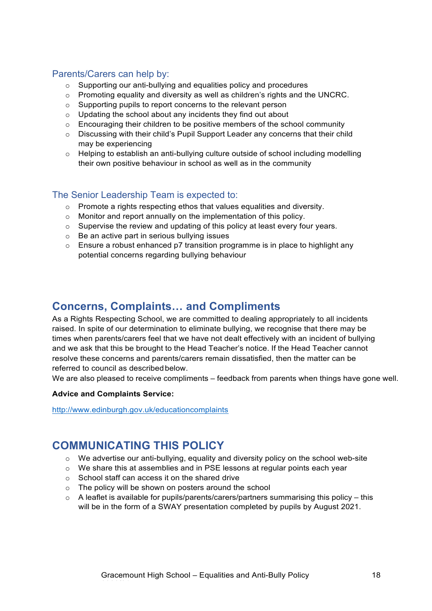#### Parents/Carers can help by:

- o Supporting our anti-bullying and equalities policy and procedures
- $\circ$  Promoting equality and diversity as well as children's rights and the UNCRC.
- o Supporting pupils to report concerns to the relevant person
- o Updating the school about any incidents they find out about
- $\circ$  Encouraging their children to be positive members of the school community
- o Discussing with their child's Pupil Support Leader any concerns that their child may be experiencing
- o Helping to establish an anti-bullying culture outside of school including modelling their own positive behaviour in school as well as in the community

### The Senior Leadership Team is expected to:

- o Promote a rights respecting ethos that values equalities and diversity.
- o Monitor and report annually on the implementation of this policy.
- $\circ$  Supervise the review and updating of this policy at least every four vears.
- o Be an active part in serious bullying issues
- $\circ$  Ensure a robust enhanced p7 transition programme is in place to highlight any potential concerns regarding bullying behaviour

## **Concerns, Complaints… and Compliments**

As a Rights Respecting School, we are committed to dealing appropriately to all incidents raised. In spite of our determination to eliminate bullying, we recognise that there may be times when parents/carers feel that we have not dealt effectively with an incident of bullying and we ask that this be brought to the Head Teacher's notice. If the Head Teacher cannot resolve these concerns and parents/carers remain dissatisfied, then the matter can be referred to council as described below.

We are also pleased to receive compliments – feedback from parents when things have gone well.

#### **Advice and Complaints Service:**

http://www.edinburgh.gov.uk/educationcomplaints

# **COMMUNICATING THIS POLICY**

- $\circ$  We advertise our anti-bullying, equality and diversity policy on the school web-site
- o We share this at assemblies and in PSE lessons at regular points each year
- o School staff can access it on the shared drive
- o The policy will be shown on posters around the school
- $\circ$  A leaflet is available for pupils/parents/carers/partners summarising this policy this will be in the form of a SWAY presentation completed by pupils by August 2021.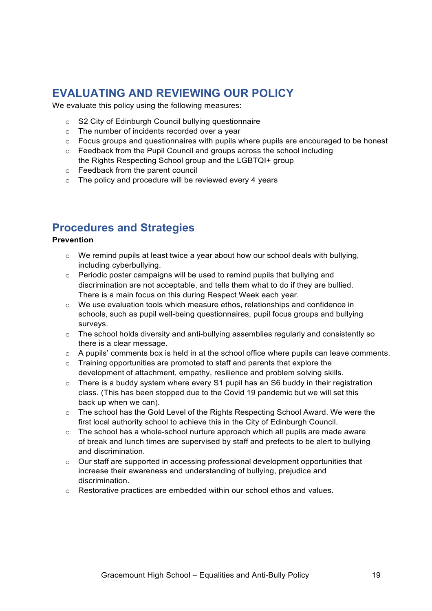# **EVALUATING AND REVIEWING OUR POLICY**

We evaluate this policy using the following measures:

- o S2 City of Edinburgh Council bullying questionnaire
- o The number of incidents recorded over a year
- o Focus groups and questionnaires with pupils where pupils are encouraged to be honest
- $\circ$  Feedback from the Pupil Council and groups across the school including the Rights Respecting School group and the LGBTQI+ group
- o Feedback from the parent council
- $\circ$  The policy and procedure will be reviewed every 4 years

## **Procedures and Strategies**

#### **Prevention**

- o We remind pupils at least twice a year about how our school deals with bullying, including cyberbullying.
- o Periodic poster campaigns will be used to remind pupils that bullying and discrimination are not acceptable, and tells them what to do if they are bullied. There is a main focus on this during Respect Week each year.
- $\circ$  We use evaluation tools which measure ethos, relationships and confidence in schools, such as pupil well-being questionnaires, pupil focus groups and bullying surveys.
- $\circ$  The school holds diversity and anti-bullying assemblies regularly and consistently so there is a clear message.
- o A pupils' comments box is held in at the school office where pupils can leave comments.
- $\circ$  Training opportunities are promoted to staff and parents that explore the development of attachment, empathy, resilience and problem solving skills.
- $\circ$  There is a buddy system where every S1 pupil has an S6 buddy in their registration class. (This has been stopped due to the Covid 19 pandemic but we will set this back up when we can).
- $\circ$  The school has the Gold Level of the Rights Respecting School Award. We were the first local authority school to achieve this in the City of Edinburgh Council.
- $\circ$  The school has a whole-school nurture approach which all pupils are made aware of break and lunch times are supervised by staff and prefects to be alert to bullying and discrimination.
- o Our staff are supported in accessing professional development opportunities that increase their awareness and understanding of bullying, prejudice and discrimination.
- o Restorative practices are embedded within our school ethos and values.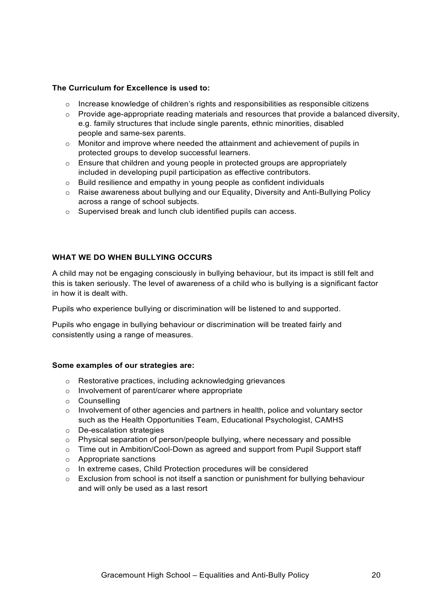#### **The Curriculum for Excellence is used to:**

- $\circ$  Increase knowledge of children's rights and responsibilities as responsible citizens
- $\circ$  Provide age-appropriate reading materials and resources that provide a balanced diversity, e.g. family structures that include single parents, ethnic minorities, disabled people and same-sex parents.
- $\circ$  Monitor and improve where needed the attainment and achievement of pupils in protected groups to develop successful learners.
- $\circ$  Ensure that children and young people in protected groups are appropriately included in developing pupil participation as effective contributors.
- o Build resilience and empathy in young people as confident individuals
- $\circ$  Raise awareness about bullying and our Equality, Diversity and Anti-Bullying Policy across a range of school subjects.
- o Supervised break and lunch club identified pupils can access.

#### **WHAT WE DO WHEN BULLYING OCCURS**

A child may not be engaging consciously in bullying behaviour, but its impact is still felt and this is taken seriously. The level of awareness of a child who is bullying is a significant factor in how it is dealt with.

Pupils who experience bullying or discrimination will be listened to and supported.

Pupils who engage in bullying behaviour or discrimination will be treated fairly and consistently using a range of measures.

#### **Some examples of our strategies are:**

- o Restorative practices, including acknowledging grievances
- o Involvement of parent/carer where appropriate
- o Counselling
- $\circ$  Involvement of other agencies and partners in health, police and voluntary sector such as the Health Opportunities Team, Educational Psychologist, CAMHS
- o De-escalation strategies
- $\circ$  Physical separation of person/people bullying, where necessary and possible
- $\circ$  Time out in Ambition/Cool-Down as agreed and support from Pupil Support staff
- o Appropriate sanctions
- o In extreme cases, Child Protection procedures will be considered
- $\circ$  Exclusion from school is not itself a sanction or punishment for bullying behaviour and will only be used as a last resort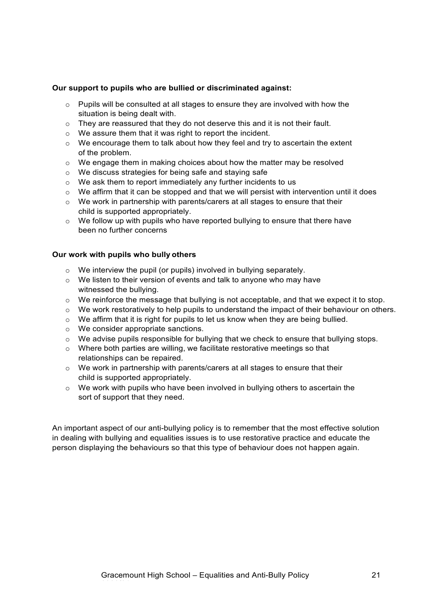#### **Our support to pupils who are bullied or discriminated against:**

- $\circ$  Pupils will be consulted at all stages to ensure they are involved with how the situation is being dealt with.
- $\circ$  They are reassured that they do not deserve this and it is not their fault.
- o We assure them that it was right to report the incident.
- $\circ$  We encourage them to talk about how they feel and try to ascertain the extent of the problem.
- $\circ$  We engage them in making choices about how the matter may be resolved
- o We discuss strategies for being safe and staying safe
- o We ask them to report immediately any further incidents to us
- $\circ$  We affirm that it can be stopped and that we will persist with intervention until it does
- $\circ$  We work in partnership with parents/carers at all stages to ensure that their child is supported appropriately.
- $\circ$  We follow up with pupils who have reported bullying to ensure that there have been no further concerns

#### **Our work with pupils who bully others**

- $\circ$  We interview the pupil (or pupils) involved in bullying separately.
- o We listen to their version of events and talk to anyone who may have witnessed the bullying.
- $\circ$  We reinforce the message that bullying is not acceptable, and that we expect it to stop.
- $\circ$  We work restoratively to help pupils to understand the impact of their behaviour on others.
- o We affirm that it is right for pupils to let us know when they are being bullied.
- o We consider appropriate sanctions.
- o We advise pupils responsible for bullying that we check to ensure that bullying stops.
- o Where both parties are willing, we facilitate restorative meetings so that relationships can be repaired.
- $\circ$  We work in partnership with parents/carers at all stages to ensure that their child is supported appropriately.
- $\circ$  We work with pupils who have been involved in bullying others to ascertain the sort of support that they need.

An important aspect of our anti-bullying policy is to remember that the most effective solution in dealing with bullying and equalities issues is to use restorative practice and educate the person displaying the behaviours so that this type of behaviour does not happen again.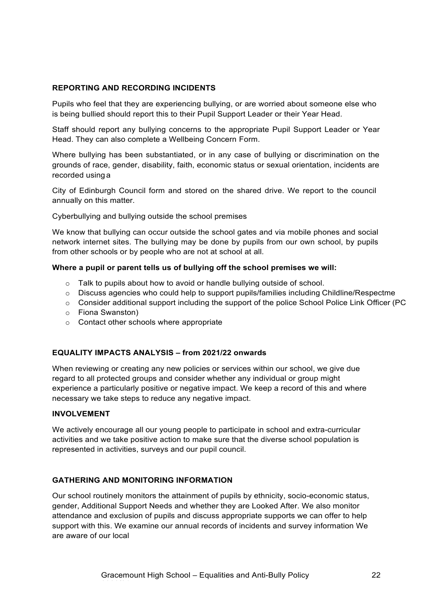#### **REPORTING AND RECORDING INCIDENTS**

Pupils who feel that they are experiencing bullying, or are worried about someone else who is being bullied should report this to their Pupil Support Leader or their Year Head.

Staff should report any bullying concerns to the appropriate Pupil Support Leader or Year Head. They can also complete a Wellbeing Concern Form.

Where bullying has been substantiated, or in any case of bullying or discrimination on the grounds of race, gender, disability, faith, economic status or sexual orientation, incidents are recorded using a

City of Edinburgh Council form and stored on the shared drive. We report to the council annually on this matter.

Cyberbullying and bullying outside the school premises

We know that bullying can occur outside the school gates and via mobile phones and social network internet sites. The bullying may be done by pupils from our own school, by pupils from other schools or by people who are not at school at all.

#### **Where a pupil or parent tells us of bullying off the school premises we will:**

- o Talk to pupils about how to avoid or handle bullying outside of school.
- o Discuss agencies who could help to support pupils/families including Childline/Respectme
- o Consider additional support including the support of the police School Police Link Officer (PC
- o Fiona Swanston)
- o Contact other schools where appropriate

#### **EQUALITY IMPACTS ANALYSIS – from 2021/22 onwards**

When reviewing or creating any new policies or services within our school, we give due regard to all protected groups and consider whether any individual or group might experience a particularly positive or negative impact. We keep a record of this and where necessary we take steps to reduce any negative impact.

#### **INVOLVEMENT**

We actively encourage all our young people to participate in school and extra-curricular activities and we take positive action to make sure that the diverse school population is represented in activities, surveys and our pupil council.

#### **GATHERING AND MONITORING INFORMATION**

Our school routinely monitors the attainment of pupils by ethnicity, socio-economic status, gender, Additional Support Needs and whether they are Looked After. We also monitor attendance and exclusion of pupils and discuss appropriate supports we can offer to help support with this. We examine our annual records of incidents and survey information We are aware of our local